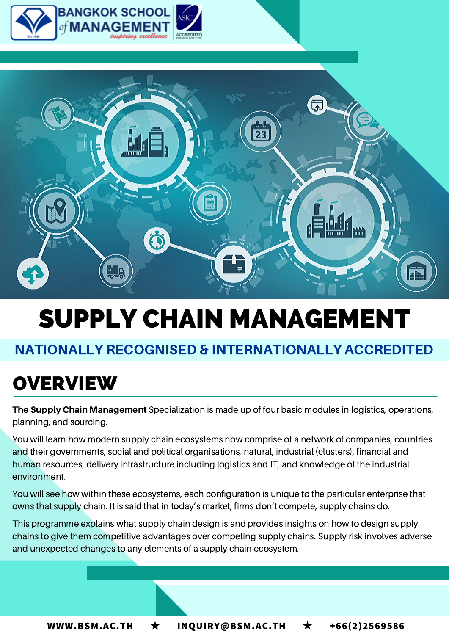



# SUPPLY CHAIN MANAGEMENT

### NATIONALLY RECOGNISED & INTERNATIONALLY ACCREDITED

### **OVERVIEW**

The Supply Chain Management Specialization is made up of four basic modules in logistics, operations, planning, and sourcing.

You will learn how modern supply chain ecosystems now comprise of a network of companies, countries and their governments, social and political organisations, natural, industrial (clusters), financial and human resources, delivery infrastructure including logistics and IT, and knowledge of the industrial environment.

You will see how within these ecosystems, each configuration is unique to the particular enterprise that owns that supply chain. It is said that in today's market, firms don't compete, supply chains do.

This programme explains what supply chain design is and provides insights on how to design supply chains to give them competitive advantages over competing supply chains. Supply risk involves adverse and unexpected changes to any elements of a supply chain ecosystem.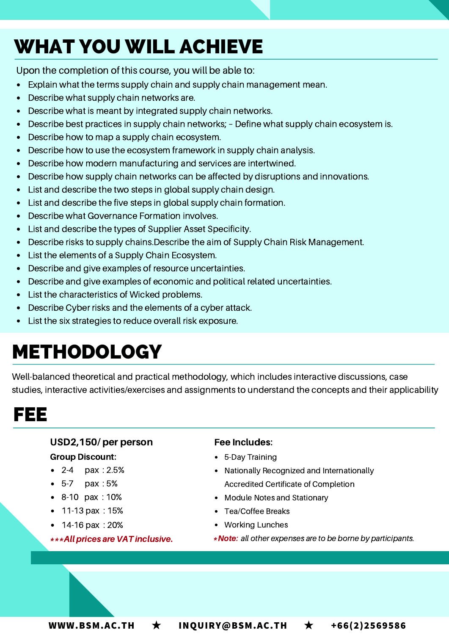## WHAT YOU WILL ACHIEVE

Upon the completion of this course, you will be able to:

- Explain what the terms supply chain and supply chain management mean.
- Describe what supply chain networks are.  $\bullet$
- Describe what is meant by integrated supply chain networks.
- Describe best practices in supply chain networks; Define what supply chain ecosystem is.  $\bullet$
- Describe how to map a supply chain ecosystem.
- Describe how to use the ecosystem framework in supply chain analysis.
- Describe how modern manufacturing and services are intertwined.
- Describe how supply chain networks can be affected by disruptions and innovations.  $\bullet$
- List and describe the two steps in global supply chain design.  $\bullet$
- List and describe the five steps in global supply chain formation.
- Describe what Governance Formation involves.
- List and describe the types of Supplier Asset Specificity.
- Describe risks to supply chains.Describe the aim of Supply Chain Risk Management.  $\bullet$
- List the elements of a Supply Chain Ecosystem.  $\bullet$
- Describe and give examples of resource uncertainties.  $\bullet$
- Describe and give examples of economic and political related uncertainties.
- List the characteristics of Wicked problems.
- Describe Cyber risks and the elements of a cyber attack.  $\bullet$
- List the six strategies to reduce overall risk exposure.

## METHODOLOGY

Well-balanced theoretical and practical methodology, which includes interactive discussions, case studies, interactive activities/exercises and assignments to understand the concepts and their applicability

### FEE

#### USD2,150/ per person Group Discount:

- 2-4 pax : 2.5%
- 5-7 pax : 5%
- 8-10 pax : 10%
- $\bullet$  11-13 pax : 15%
- 14-16 pax : 20%
- \*\*\*Allprices are VAT inclusive.

#### Fee Includes:

- 5-Day Training
- Nationally Recognized and Internationally Accredited Certificate of Completion
- Module Notes and Stationary
- Tea/Coffee Breaks
- Working Lunches
- \*Note: all other expenses are to be borne by participants.

**WWW.BSM.AC.TH** ★ **INQUIRY@BSM.AC.TH** ★ **+66(2)2569586**